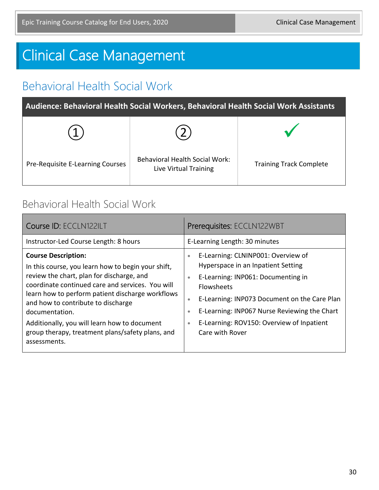# Clinical Case Management

### Behavioral Health Social Work

**Audience: Behavioral Health Social Workers, Behavioral Health Social Work Assistants**

| Pre-Requisite E-Learning Courses | <b>Behavioral Health Social Work:</b><br>Live Virtual Training | <b>Training Track Complete</b> |
|----------------------------------|----------------------------------------------------------------|--------------------------------|

#### Behavioral Health Social Work

| Course ID: ECCLN122ILT                                                                                                                                                                                                                                                                                                                                                                                            | Prerequisites: ECCLN122WBT                                                                                                                                                                                                                                                                                                                                   |
|-------------------------------------------------------------------------------------------------------------------------------------------------------------------------------------------------------------------------------------------------------------------------------------------------------------------------------------------------------------------------------------------------------------------|--------------------------------------------------------------------------------------------------------------------------------------------------------------------------------------------------------------------------------------------------------------------------------------------------------------------------------------------------------------|
| Instructor-Led Course Length: 8 hours                                                                                                                                                                                                                                                                                                                                                                             | E-Learning Length: 30 minutes                                                                                                                                                                                                                                                                                                                                |
| <b>Course Description:</b><br>In this course, you learn how to begin your shift,<br>review the chart, plan for discharge, and<br>coordinate continued care and services. You will<br>learn how to perform patient discharge workflows<br>and how to contribute to discharge<br>documentation.<br>Additionally, you will learn how to document<br>group therapy, treatment plans/safety plans, and<br>assessments. | E-Learning: CLNINP001: Overview of<br>$\bullet$<br>Hyperspace in an Inpatient Setting<br>E-Learning: INP061: Documenting in<br>$\bullet$<br><b>Flowsheets</b><br>E-Learning: INP073 Document on the Care Plan<br>۰<br>E-Learning: INP067 Nurse Reviewing the Chart<br>$\bullet$<br>E-Learning: ROV150: Overview of Inpatient<br>$\bullet$<br>Care with Rover |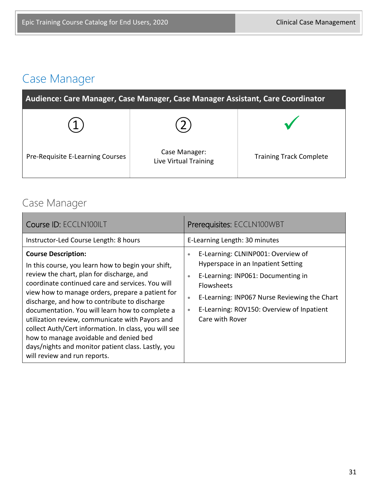# Case Manager

| Audience: Care Manager, Case Manager, Case Manager Assistant, Care Coordinator |                                        |                                |
|--------------------------------------------------------------------------------|----------------------------------------|--------------------------------|
|                                                                                |                                        |                                |
| Pre-Requisite E-Learning Courses                                               | Case Manager:<br>Live Virtual Training | <b>Training Track Complete</b> |

#### Case Manager

| Course ID: ECCLN100ILT                                                                                                                                                                                                                                                                                                                                                                                                                                                                                                                                                                | Prerequisites: ECCLN100WBT                                                                                                                                                                                                                                                                              |
|---------------------------------------------------------------------------------------------------------------------------------------------------------------------------------------------------------------------------------------------------------------------------------------------------------------------------------------------------------------------------------------------------------------------------------------------------------------------------------------------------------------------------------------------------------------------------------------|---------------------------------------------------------------------------------------------------------------------------------------------------------------------------------------------------------------------------------------------------------------------------------------------------------|
| Instructor-Led Course Length: 8 hours                                                                                                                                                                                                                                                                                                                                                                                                                                                                                                                                                 | E-Learning Length: 30 minutes                                                                                                                                                                                                                                                                           |
| <b>Course Description:</b><br>In this course, you learn how to begin your shift,<br>review the chart, plan for discharge, and<br>coordinate continued care and services. You will<br>view how to manage orders, prepare a patient for<br>discharge, and how to contribute to discharge<br>documentation. You will learn how to complete a<br>utilization review, communicate with Payors and<br>collect Auth/Cert information. In class, you will see<br>how to manage avoidable and denied bed<br>days/nights and monitor patient class. Lastly, you<br>will review and run reports. | E-Learning: CLNINP001: Overview of<br>$\bullet$<br>Hyperspace in an Inpatient Setting<br>E-Learning: INP061: Documenting in<br>$\bullet$<br><b>Flowsheets</b><br>E-Learning: INP067 Nurse Reviewing the Chart<br>$\bullet$<br>E-Learning: ROV150: Overview of Inpatient<br>$\bullet$<br>Care with Rover |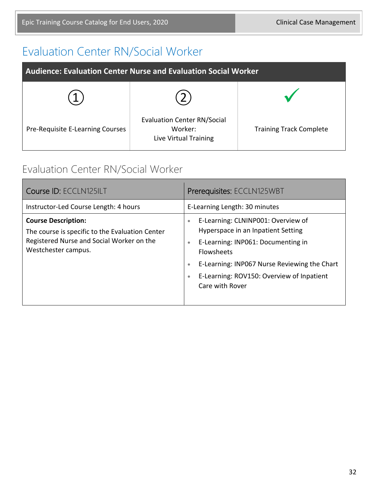#### Evaluation Center RN/Social Worker

| Audience: Evaluation Center Nurse and Evaluation Social Worker |                                                                        |                                |
|----------------------------------------------------------------|------------------------------------------------------------------------|--------------------------------|
|                                                                |                                                                        |                                |
| Pre-Requisite E-Learning Courses                               | <b>Evaluation Center RN/Social</b><br>Worker:<br>Live Virtual Training | <b>Training Track Complete</b> |

#### Evaluation Center RN/Social Worker

| Course ID: ECCLN125ILT                                                                                                                            | Prerequisites: ECCLN125WBT                                                                                                                                                                                                                                                                       |  |
|---------------------------------------------------------------------------------------------------------------------------------------------------|--------------------------------------------------------------------------------------------------------------------------------------------------------------------------------------------------------------------------------------------------------------------------------------------------|--|
| Instructor-Led Course Length: 4 hours                                                                                                             | E-Learning Length: 30 minutes                                                                                                                                                                                                                                                                    |  |
| <b>Course Description:</b><br>The course is specific to the Evaluation Center<br>Registered Nurse and Social Worker on the<br>Westchester campus. | E-Learning: CLNINP001: Overview of<br>$\bullet$<br>Hyperspace in an Inpatient Setting<br>E-Learning: INP061: Documenting in<br>$\bullet$<br>Flowsheets<br>E-Learning: INP067 Nurse Reviewing the Chart<br>$\bullet$<br>E-Learning: ROV150: Overview of Inpatient<br>$\bullet$<br>Care with Rover |  |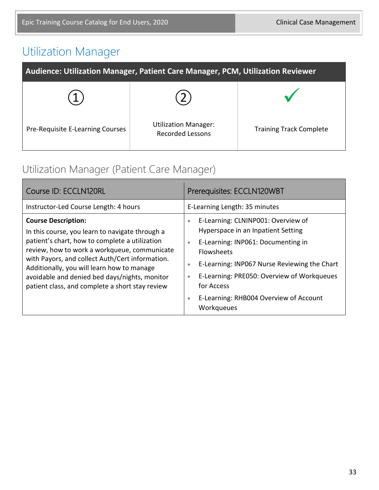# Utilization Manager

| Audience: Utilization Manager, Patient Care Manager, PCM, Utilization Reviewer |                                                        |                                |
|--------------------------------------------------------------------------------|--------------------------------------------------------|--------------------------------|
|                                                                                |                                                        |                                |
| Pre-Requisite E-Learning Courses                                               | <b>Utilization Manager:</b><br><b>Recorded Lessons</b> | <b>Training Track Complete</b> |

#### Utilization Manager (Patient Care Manager)

| Course ID: ECCLN120RL                                                                                                                                                                                                                                                                                                                                                                | Prerequisites: ECCLN120WBT                                                                                                                                                                                                                                                                                                                                        |
|--------------------------------------------------------------------------------------------------------------------------------------------------------------------------------------------------------------------------------------------------------------------------------------------------------------------------------------------------------------------------------------|-------------------------------------------------------------------------------------------------------------------------------------------------------------------------------------------------------------------------------------------------------------------------------------------------------------------------------------------------------------------|
| Instructor-Led Course Length: 4 hours                                                                                                                                                                                                                                                                                                                                                | E-Learning Length: 35 minutes                                                                                                                                                                                                                                                                                                                                     |
| <b>Course Description:</b><br>In this course, you learn to navigate through a<br>patient's chart, how to complete a utilization<br>review, how to work a workqueue, communicate<br>with Payors, and collect Auth/Cert information.<br>Additionally, you will learn how to manage<br>avoidable and denied bed days/nights, monitor<br>patient class, and complete a short stay review | E-Learning: CLNINP001: Overview of<br>$\bullet$<br>Hyperspace in an Inpatient Setting<br>E-Learning: INP061: Documenting in<br>$\bullet$<br>Flowsheets<br>E-Learning: INP067 Nurse Reviewing the Chart<br>$\bullet$<br>E-Learning: PRE050: Overview of Workqueues<br>$\bullet$<br>for Access<br>E-Learning: RHB004 Overview of Account<br>$\bullet$<br>Workqueues |